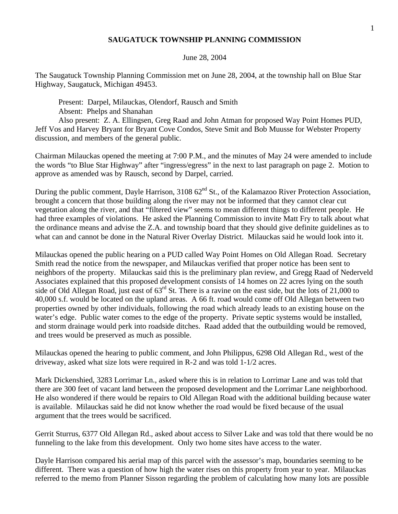## **SAUGATUCK TOWNSHIP PLANNING COMMISSION**

## June 28, 2004

The Saugatuck Township Planning Commission met on June 28, 2004, at the township hall on Blue Star Highway, Saugatuck, Michigan 49453.

Present: Darpel, Milauckas, Olendorf, Rausch and Smith Absent: Phelps and Shanahan

Also present: Z. A. Ellingsen, Greg Raad and John Atman for proposed Way Point Homes PUD, Jeff Vos and Harvey Bryant for Bryant Cove Condos, Steve Smit and Bob Muusse for Webster Property discussion, and members of the general public.

Chairman Milauckas opened the meeting at 7:00 P.M., and the minutes of May 24 were amended to include the words "to Blue Star Highway" after "ingress/egress" in the next to last paragraph on page 2. Motion to approve as amended was by Rausch, second by Darpel, carried.

During the public comment, Dayle Harrison,  $310862<sup>nd</sup>$  St., of the Kalamazoo River Protection Association, brought a concern that those building along the river may not be informed that they cannot clear cut vegetation along the river, and that "filtered view" seems to mean different things to different people. He had three examples of violations. He asked the Planning Commission to invite Matt Fry to talk about what the ordinance means and advise the Z.A. and township board that they should give definite guidelines as to what can and cannot be done in the Natural River Overlay District. Milauckas said he would look into it.

Milauckas opened the public hearing on a PUD called Way Point Homes on Old Allegan Road. Secretary Smith read the notice from the newspaper, and Milauckas verified that proper notice has been sent to neighbors of the property. Milauckas said this is the preliminary plan review, and Gregg Raad of Nederveld Associates explained that this proposed development consists of 14 homes on 22 acres lying on the south side of Old Allegan Road, just east of  $63<sup>rd</sup>$  St. There is a ravine on the east side, but the lots of 21,000 to 40,000 s.f. would be located on the upland areas. A 66 ft. road would come off Old Allegan between two properties owned by other individuals, following the road which already leads to an existing house on the water's edge. Public water comes to the edge of the property. Private septic systems would be installed, and storm drainage would perk into roadside ditches. Raad added that the outbuilding would be removed, and trees would be preserved as much as possible.

Milauckas opened the hearing to public comment, and John Philippus, 6298 Old Allegan Rd., west of the driveway, asked what size lots were required in R-2 and was told 1-1/2 acres.

Mark Dickenshied, 3283 Lorrimar Ln., asked where this is in relation to Lorrimar Lane and was told that there are 300 feet of vacant land between the proposed development and the Lorrimar Lane neighborhood. He also wondered if there would be repairs to Old Allegan Road with the additional building because water is available. Milauckas said he did not know whether the road would be fixed because of the usual argument that the trees would be sacrificed.

Gerrit Sturrus, 6377 Old Allegan Rd., asked about access to Silver Lake and was told that there would be no funneling to the lake from this development. Only two home sites have access to the water.

Dayle Harrison compared his aerial map of this parcel with the assessor's map, boundaries seeming to be different. There was a question of how high the water rises on this property from year to year. Milauckas referred to the memo from Planner Sisson regarding the problem of calculating how many lots are possible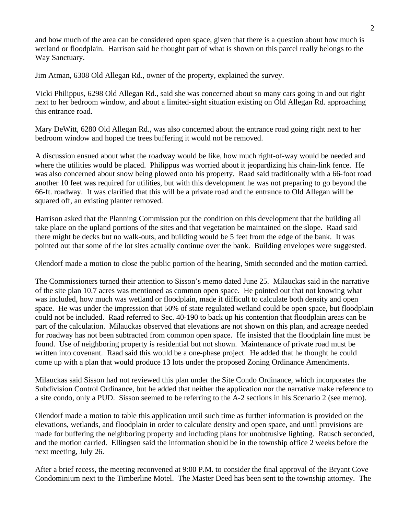and how much of the area can be considered open space, given that there is a question about how much is wetland or floodplain. Harrison said he thought part of what is shown on this parcel really belongs to the Way Sanctuary.

Jim Atman, 6308 Old Allegan Rd., owner of the property, explained the survey.

Vicki Philippus, 6298 Old Allegan Rd., said she was concerned about so many cars going in and out right next to her bedroom window, and about a limited-sight situation existing on Old Allegan Rd. approaching this entrance road.

Mary DeWitt, 6280 Old Allegan Rd., was also concerned about the entrance road going right next to her bedroom window and hoped the trees buffering it would not be removed.

A discussion ensued about what the roadway would be like, how much right-of-way would be needed and where the utilities would be placed. Philippus was worried about it jeopardizing his chain-link fence. He was also concerned about snow being plowed onto his property. Raad said traditionally with a 66-foot road another 10 feet was required for utilities, but with this development he was not preparing to go beyond the 66-ft. roadway. It was clarified that this will be a private road and the entrance to Old Allegan will be squared off, an existing planter removed.

Harrison asked that the Planning Commission put the condition on this development that the building all take place on the upland portions of the sites and that vegetation be maintained on the slope. Raad said there might be decks but no walk-outs, and building would be 5 feet from the edge of the bank. It was pointed out that some of the lot sites actually continue over the bank. Building envelopes were suggested.

Olendorf made a motion to close the public portion of the hearing, Smith seconded and the motion carried.

The Commissioners turned their attention to Sisson's memo dated June 25. Milauckas said in the narrative of the site plan 10.7 acres was mentioned as common open space. He pointed out that not knowing what was included, how much was wetland or floodplain, made it difficult to calculate both density and open space. He was under the impression that 50% of state regulated wetland could be open space, but floodplain could not be included. Raad referred to Sec. 40-190 to back up his contention that floodplain areas can be part of the calculation. Milauckas observed that elevations are not shown on this plan, and acreage needed for roadway has not been subtracted from common open space. He insisted that the floodplain line must be found. Use of neighboring property is residential but not shown. Maintenance of private road must be written into covenant. Raad said this would be a one-phase project. He added that he thought he could come up with a plan that would produce 13 lots under the proposed Zoning Ordinance Amendments.

Milauckas said Sisson had not reviewed this plan under the Site Condo Ordinance, which incorporates the Subdivision Control Ordinance, but he added that neither the application nor the narrative make reference to a site condo, only a PUD. Sisson seemed to be referring to the A-2 sections in his Scenario 2 (see memo).

Olendorf made a motion to table this application until such time as further information is provided on the elevations, wetlands, and floodplain in order to calculate density and open space, and until provisions are made for buffering the neighboring property and including plans for unobtrusive lighting. Rausch seconded, and the motion carried. Ellingsen said the information should be in the township office 2 weeks before the next meeting, July 26.

After a brief recess, the meeting reconvened at 9:00 P.M. to consider the final approval of the Bryant Cove Condominium next to the Timberline Motel. The Master Deed has been sent to the township attorney. The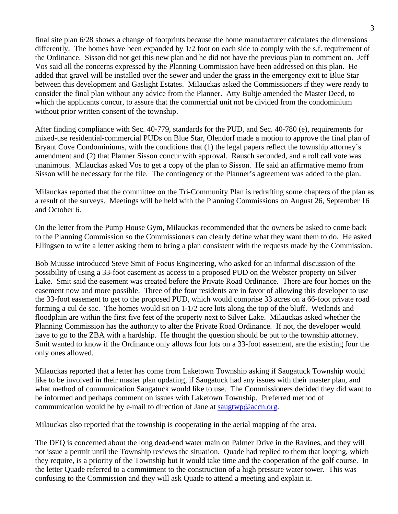final site plan 6/28 shows a change of footprints because the home manufacturer calculates the dimensions differently. The homes have been expanded by 1/2 foot on each side to comply with the s.f. requirement of the Ordinance. Sisson did not get this new plan and he did not have the previous plan to comment on. Jeff Vos said all the concerns expressed by the Planning Commission have been addressed on this plan. He added that gravel will be installed over the sewer and under the grass in the emergency exit to Blue Star between this development and Gaslight Estates. Milauckas asked the Commissioners if they were ready to consider the final plan without any advice from the Planner. Atty Bultje amended the Master Deed, to which the applicants concur, to assure that the commercial unit not be divided from the condominium without prior written consent of the township.

After finding compliance with Sec. 40-779, standards for the PUD, and Sec. 40-780 (e), requirements for mixed-use residential-commercial PUDs on Blue Star, Olendorf made a motion to approve the final plan of Bryant Cove Condominiums, with the conditions that (1) the legal papers reflect the township attorney's amendment and (2) that Planner Sisson concur with approval. Rausch seconded, and a roll call vote was unanimous. Milauckas asked Vos to get a copy of the plan to Sisson. He said an affirmative memo from Sisson will be necessary for the file. The contingency of the Planner's agreement was added to the plan.

Milauckas reported that the committee on the Tri-Community Plan is redrafting some chapters of the plan as a result of the surveys. Meetings will be held with the Planning Commissions on August 26, September 16 and October 6.

On the letter from the Pump House Gym, Milauckas recommended that the owners be asked to come back to the Planning Commission so the Commissioners can clearly define what they want them to do. He asked Ellingsen to write a letter asking them to bring a plan consistent with the requests made by the Commission.

Bob Muusse introduced Steve Smit of Focus Engineering, who asked for an informal discussion of the possibility of using a 33-foot easement as access to a proposed PUD on the Webster property on Silver Lake. Smit said the easement was created before the Private Road Ordinance. There are four homes on the easement now and more possible. Three of the four residents are in favor of allowing this developer to use the 33-foot easement to get to the proposed PUD, which would comprise 33 acres on a 66-foot private road forming a cul de sac. The homes would sit on 1-1/2 acre lots along the top of the bluff. Wetlands and floodplain are within the first five feet of the property next to Silver Lake. Milauckas asked whether the Planning Commission has the authority to alter the Private Road Ordinance. If not, the developer would have to go to the ZBA with a hardship. He thought the question should be put to the township attorney. Smit wanted to know if the Ordinance only allows four lots on a 33-foot easement, are the existing four the only ones allowed.

Milauckas reported that a letter has come from Laketown Township asking if Saugatuck Township would like to be involved in their master plan updating, if Saugatuck had any issues with their master plan, and what method of communication Saugatuck would like to use. The Commissioners decided they did want to be informed and perhaps comment on issues with Laketown Township. Preferred method of communication would be by e-mail to direction of Jane at saugtwp@accn.org.

Milauckas also reported that the township is cooperating in the aerial mapping of the area.

The DEQ is concerned about the long dead-end water main on Palmer Drive in the Ravines, and they will not issue a permit until the Township reviews the situation. Quade had replied to them that looping, which they require, is a priority of the Township but it would take time and the cooperation of the golf course. In the letter Quade referred to a commitment to the construction of a high pressure water tower. This was confusing to the Commission and they will ask Quade to attend a meeting and explain it.